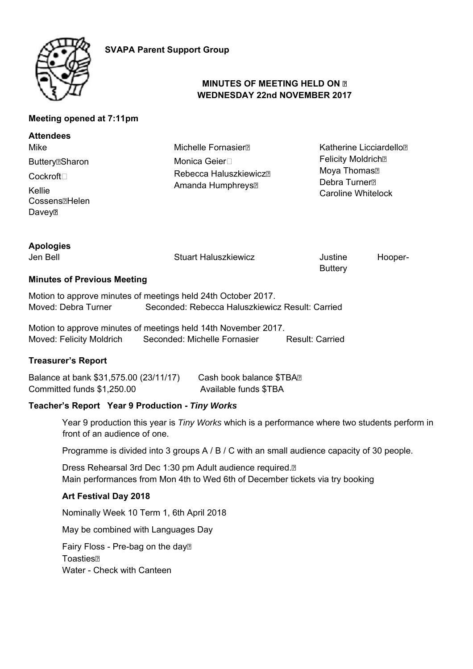

# **MINUTES OF MEETING HELD ON WEDNESDAY 22nd NOVEMBER 2017**

## **Meeting opened at 7:11pm**

| <b>Attendees</b>                   |                                        |                                                                                    |
|------------------------------------|----------------------------------------|------------------------------------------------------------------------------------|
| Mike                               | <b>Michelle Fornasier</b> <sup>n</sup> | Katherine Licciardello <sup>n</sup>                                                |
| <b>Buttery</b> <sup>n</sup> Sharon | Monica Geier⊟                          | <b>Felicity Moldrich</b> <sup>®</sup>                                              |
| Cockroft                           | Rebecca Haluszkiewicz <sup>n</sup>     | Moya Thomas <sup>n</sup><br>Debra Turner <sup>n</sup><br><b>Caroline Whitelock</b> |
|                                    | Amanda Humphreys <sup>[2]</sup>        |                                                                                    |
| Kellie                             |                                        |                                                                                    |
| Cossens <sup>[1</sup> ]Helen       |                                        |                                                                                    |
| Davey⊠                             |                                        |                                                                                    |

| <b>Apologies</b>                   |                             |                           |         |
|------------------------------------|-----------------------------|---------------------------|---------|
| Jen Bell                           | <b>Stuart Haluszkiewicz</b> | Justine<br><b>Buttery</b> | Hooper- |
| <b>Minutes of Previous Meeting</b> |                             |                           |         |

Motion to approve minutes of meetings held 24th October 2017. Moved: Debra Turner Seconded: Rebecca Haluszkiewicz Result: Carried

Motion to approve minutes of meetings held 14th November 2017. Moved: Felicity Moldrich Seconded: Michelle Fornasier Result: Carried

#### **Treasurer's Report**

Balance at bank \$31,575.00 (23/11/17) Cash book balance \$TBA Committed funds \$1,250.00 Available funds \$TBA

#### **Teacher's Report Year 9 Production -** *Tiny Works*

Year 9 production this year is *Tiny Works* which is a performance where two students perform in front of an audience of one.

Programme is divided into 3 groups A / B / C with an small audience capacity of 30 people.

Dress Rehearsal 3rd Dec 1:30 pm Adult audience required. Main performances from Mon 4th to Wed 6th of December tickets via try booking

## **Art Festival Day 2018**

Nominally Week 10 Term 1, 6th April 2018

May be combined with Languages Day

Fairy Floss - Pre-bag on the day<sup>®</sup> **Toasties** Water - Check with Canteen